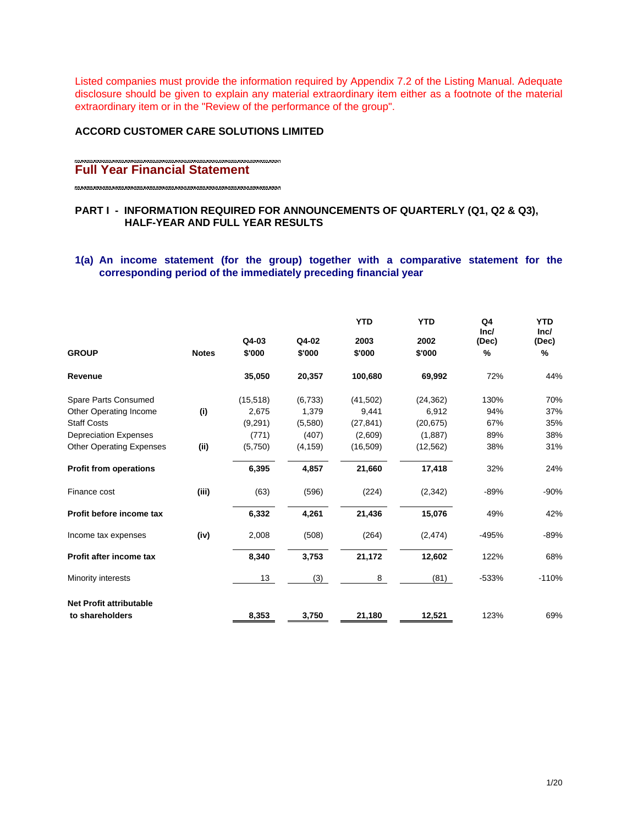Listed companies must provide the information required by Appendix 7.2 of the Listing Manual. Adequate disclosure should be given to explain any material extraordinary item either as a footnote of the material extraordinary item or in the "Review of the performance of the group".

## **ACCORD CUSTOMER CARE SOLUTIONS LIMITED**

#### **Full Year Financial Statement**

## **PART I - INFORMATION REQUIRED FOR ANNOUNCEMENTS OF QUARTERLY (Q1, Q2 & Q3), HALF-YEAR AND FULL YEAR RESULTS**

## **1(a) An income statement (for the group) together with a comparative statement for the corresponding period of the immediately preceding financial year**

|                                 |              |                 |                 | <b>YTD</b>     | <b>YTD</b>     | Q <sub>4</sub><br>Inc/ | <b>YTD</b><br>Inc/ |
|---------------------------------|--------------|-----------------|-----------------|----------------|----------------|------------------------|--------------------|
| <b>GROUP</b>                    | <b>Notes</b> | Q4-03<br>\$'000 | Q4-02<br>\$'000 | 2003<br>\$'000 | 2002<br>\$'000 | (Dec)<br>%             | (Dec)<br>%         |
| Revenue                         |              | 35,050          | 20,357          | 100,680        | 69,992         | 72%                    | 44%                |
| Spare Parts Consumed            |              | (15, 518)       | (6,733)         | (41,502)       | (24, 362)      | 130%                   | 70%                |
| Other Operating Income          | (i)          | 2,675           | 1,379           | 9,441          | 6,912          | 94%                    | 37%                |
| <b>Staff Costs</b>              |              | (9,291)         | (5,580)         | (27, 841)      | (20, 675)      | 67%                    | 35%                |
| <b>Depreciation Expenses</b>    |              | (771)           | (407)           | (2,609)        | (1,887)        | 89%                    | 38%                |
| <b>Other Operating Expenses</b> | (ii)         | (5,750)         | (4, 159)        | (16, 509)      | (12, 562)      | 38%                    | 31%                |
| <b>Profit from operations</b>   |              | 6,395           | 4,857           | 21,660         | 17,418         | 32%                    | 24%                |
| Finance cost                    | (iii)        | (63)            | (596)           | (224)          | (2,342)        | $-89%$                 | $-90%$             |
| Profit before income tax        |              | 6,332           | 4,261           | 21,436         | 15,076         | 49%                    | 42%                |
| Income tax expenses             | (iv)         | 2,008           | (508)           | (264)          | (2, 474)       | -495%                  | $-89%$             |
| Profit after income tax         |              | 8,340           | 3,753           | 21,172         | 12,602         | 122%                   | 68%                |
| <b>Minority interests</b>       |              | 13              | (3)             | 8              | (81)           | $-533%$                | $-110%$            |
| <b>Net Profit attributable</b>  |              |                 |                 |                |                |                        |                    |
| to shareholders                 |              | 8,353           | 3,750           | 21,180         | 12,521         | 123%                   | 69%                |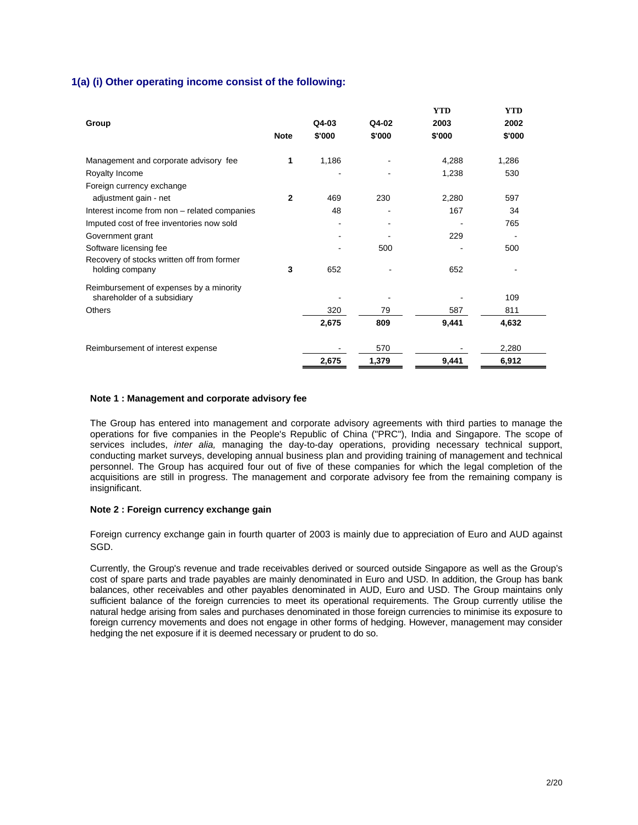## **1(a) (i) Other operating income consist of the following:**

|                                                                        |              |        |        | <b>YTD</b> | <b>YTD</b> |
|------------------------------------------------------------------------|--------------|--------|--------|------------|------------|
| Group                                                                  |              | Q4-03  | Q4-02  | 2003       | 2002       |
|                                                                        | <b>Note</b>  | \$'000 | \$'000 | \$'000     | \$'000     |
| Management and corporate advisory fee                                  | 1            | 1,186  |        | 4,288      | 1,286      |
| Royalty Income                                                         |              |        |        | 1,238      | 530        |
| Foreign currency exchange                                              |              |        |        |            |            |
| adjustment gain - net                                                  | $\mathbf{2}$ | 469    | 230    | 2,280      | 597        |
| Interest income from non - related companies                           |              | 48     |        | 167        | 34         |
| Imputed cost of free inventories now sold                              |              |        |        |            | 765        |
| Government grant                                                       |              |        |        | 229        |            |
| Software licensing fee                                                 |              |        | 500    |            | 500        |
| Recovery of stocks written off from former<br>holding company          | 3            | 652    |        | 652        |            |
| Reimbursement of expenses by a minority<br>shareholder of a subsidiary |              |        |        |            | 109        |
| Others                                                                 |              | 320    | 79     | 587        | 811        |
|                                                                        |              | 2,675  | 809    | 9,441      | 4,632      |
| Reimbursement of interest expense                                      |              |        | 570    |            | 2,280      |
|                                                                        |              | 2,675  | 1,379  | 9,441      | 6,912      |

#### **Note 1 : Management and corporate advisory fee**

The Group has entered into management and corporate advisory agreements with third parties to manage the operations for five companies in the People's Republic of China ("PRC"), India and Singapore. The scope of services includes, *inter alia,* managing the day-to-day operations, providing necessary technical support, conducting market surveys, developing annual business plan and providing training of management and technical personnel. The Group has acquired four out of five of these companies for which the legal completion of the acquisitions are still in progress. The management and corporate advisory fee from the remaining company is insignificant.

#### **Note 2 : Foreign currency exchange gain**

Foreign currency exchange gain in fourth quarter of 2003 is mainly due to appreciation of Euro and AUD against SGD.

Currently, the Group's revenue and trade receivables derived or sourced outside Singapore as well as the Group's cost of spare parts and trade payables are mainly denominated in Euro and USD. In addition, the Group has bank balances, other receivables and other payables denominated in AUD, Euro and USD. The Group maintains only sufficient balance of the foreign currencies to meet its operational requirements. The Group currently utilise the natural hedge arising from sales and purchases denominated in those foreign currencies to minimise its exposure to foreign currency movements and does not engage in other forms of hedging. However, management may consider hedging the net exposure if it is deemed necessary or prudent to do so.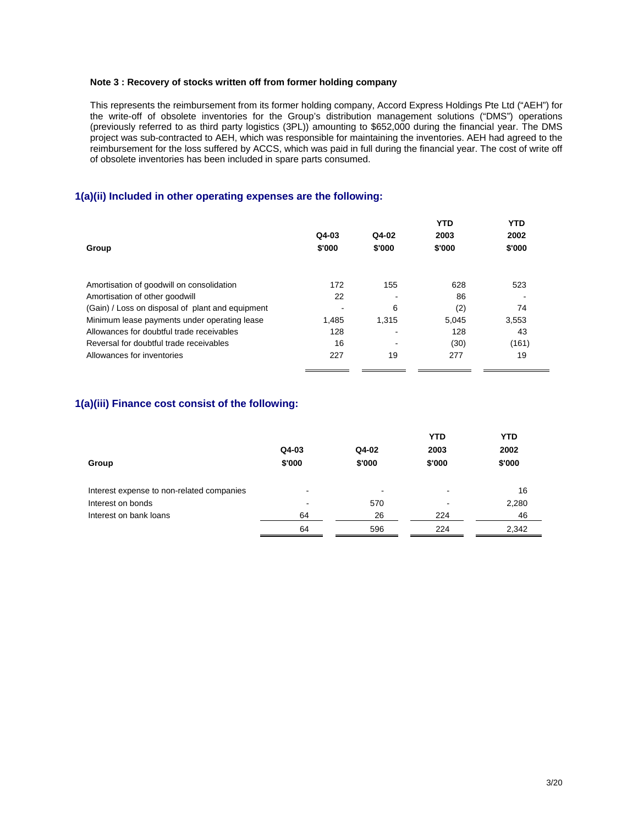#### **Note 3 : Recovery of stocks written off from former holding company**

This represents the reimbursement from its former holding company, Accord Express Holdings Pte Ltd ("AEH") for the write-off of obsolete inventories for the Group's distribution management solutions ("DMS") operations (previously referred to as third party logistics (3PL)) amounting to \$652,000 during the financial year. The DMS project was sub-contracted to AEH, which was responsible for maintaining the inventories. AEH had agreed to the reimbursement for the loss suffered by ACCS, which was paid in full during the financial year. The cost of write off of obsolete inventories has been included in spare parts consumed.

## **1(a)(ii) Included in other operating expenses are the following:**

|                                                  |        |         | <b>YTD</b> | <b>YTD</b> |
|--------------------------------------------------|--------|---------|------------|------------|
|                                                  | Q4-03  | $Q4-02$ | 2003       | 2002       |
| Group                                            | \$'000 | \$'000  | \$'000     | \$'000     |
| Amortisation of goodwill on consolidation        | 172    | 155     | 628        | 523        |
|                                                  |        |         |            |            |
| Amortisation of other goodwill                   | 22     |         | 86         |            |
| (Gain) / Loss on disposal of plant and equipment |        | 6       | (2)        | 74         |
| Minimum lease payments under operating lease     | 1.485  | 1.315   | 5.045      | 3,553      |
| Allowances for doubtful trade receivables        | 128    |         | 128        | 43         |
| Reversal for doubtful trade receivables          | 16     |         | (30)       | (161)      |
| Allowances for inventories                       | 227    | 19      | 277        | 19         |

# **1(a)(iii) Finance cost consist of the following:**

| Group                                     | Q4-03<br>\$'000 | Q4-02<br>\$'000 | <b>YTD</b><br>2003<br>\$'000 | <b>YTD</b><br>2002<br>\$'000 |
|-------------------------------------------|-----------------|-----------------|------------------------------|------------------------------|
| Interest expense to non-related companies | $\,$            | $\blacksquare$  |                              | 16                           |
| Interest on bonds                         |                 | 570             |                              | 2,280                        |
| Interest on bank loans                    | 64              | 26              | 224                          | 46                           |
|                                           | 64              | 596             | 224                          | 2,342                        |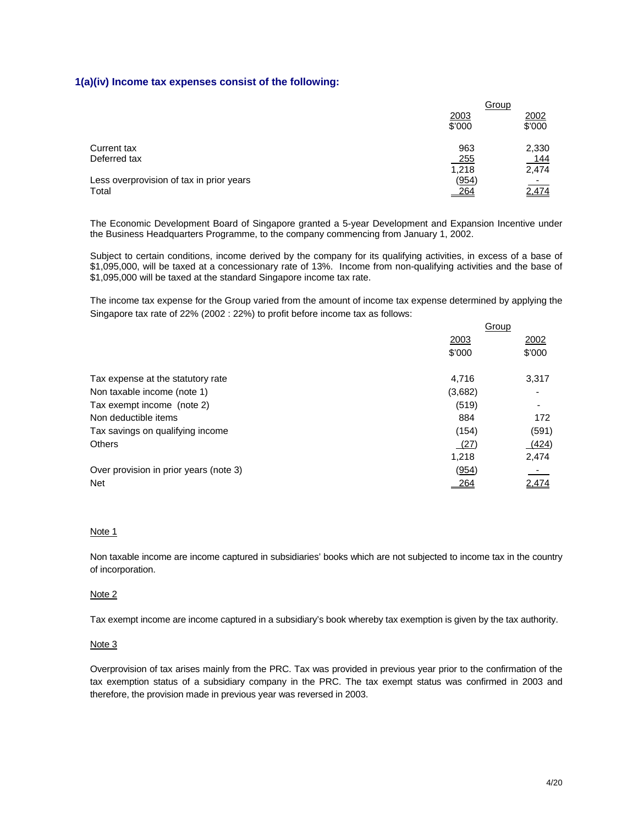#### **1(a)(iv) Income tax expenses consist of the following:**

|                                          | <u>Group</u> |        |
|------------------------------------------|--------------|--------|
|                                          | 2003         | 2002   |
|                                          | \$'000       | \$'000 |
| Current tax                              | 963          | 2,330  |
| Deferred tax                             | 255          | 144    |
|                                          | 1,218        | 2,474  |
| Less overprovision of tax in prior years | (954)        | $\sim$ |
| Total                                    | 264          | 2,474  |

The Economic Development Board of Singapore granted a 5-year Development and Expansion Incentive under the Business Headquarters Programme, to the company commencing from January 1, 2002.

Subject to certain conditions, income derived by the company for its qualifying activities, in excess of a base of \$1,095,000, will be taxed at a concessionary rate of 13%. Income from non-qualifying activities and the base of \$1,095,000 will be taxed at the standard Singapore income tax rate.

The income tax expense for the Group varied from the amount of income tax expense determined by applying the Singapore tax rate of 22% (2002 : 22%) to profit before income tax as follows:

|                                        | Group   |        |  |
|----------------------------------------|---------|--------|--|
|                                        | 2003    | 2002   |  |
|                                        | \$'000  | \$'000 |  |
| Tax expense at the statutory rate      | 4.716   | 3,317  |  |
| Non taxable income (note 1)            | (3,682) |        |  |
| Tax exempt income (note 2)             | (519)   | ۰      |  |
| Non deductible items                   | 884     | 172    |  |
| Tax savings on qualifying income       | (154)   | (591)  |  |
| <b>Others</b>                          | (27)    | (424)  |  |
|                                        | 1.218   | 2,474  |  |
| Over provision in prior years (note 3) | (954)   |        |  |
| <b>Net</b>                             |         | 2.474  |  |
|                                        |         |        |  |

## Note 1

Non taxable income are income captured in subsidiaries' books which are not subjected to income tax in the country of incorporation.

#### Note 2

Tax exempt income are income captured in a subsidiary's book whereby tax exemption is given by the tax authority.

#### Note 3

Overprovision of tax arises mainly from the PRC. Tax was provided in previous year prior to the confirmation of the tax exemption status of a subsidiary company in the PRC. The tax exempt status was confirmed in 2003 and therefore, the provision made in previous year was reversed in 2003.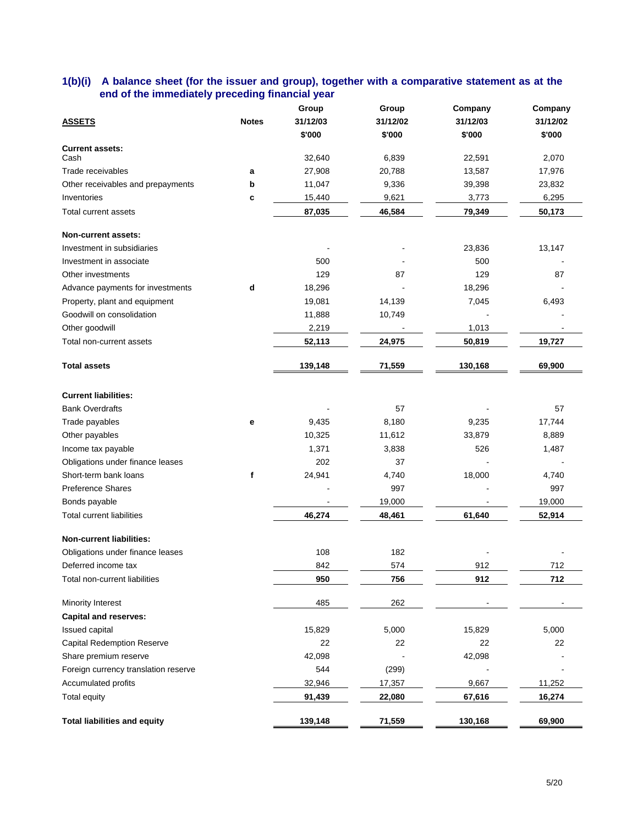## **1(b)(i) A balance sheet (for the issuer and group), together with a comparative statement as at the end of the immediately preceding financial year**

|                                      |              | Group    | Group    | Company  | Company  |
|--------------------------------------|--------------|----------|----------|----------|----------|
| <b>ASSETS</b>                        | <b>Notes</b> | 31/12/03 | 31/12/02 | 31/12/03 | 31/12/02 |
|                                      |              | \$'000   | \$'000   | \$'000   | \$'000   |
| <b>Current assets:</b>               |              |          |          |          |          |
| Cash                                 |              | 32,640   | 6,839    | 22,591   | 2,070    |
| Trade receivables                    | a            | 27,908   | 20,788   | 13,587   | 17,976   |
| Other receivables and prepayments    | b            | 11,047   | 9,336    | 39,398   | 23,832   |
| Inventories                          | c            | 15,440   | 9,621    | 3,773    | 6,295    |
| Total current assets                 |              | 87,035   | 46,584   | 79,349   | 50,173   |
| Non-current assets:                  |              |          |          |          |          |
| Investment in subsidiaries           |              |          |          | 23,836   | 13,147   |
| Investment in associate              |              | 500      |          | 500      |          |
| Other investments                    |              | 129      | 87       | 129      | 87       |
| Advance payments for investments     | d            | 18,296   |          | 18,296   |          |
| Property, plant and equipment        |              | 19,081   | 14,139   | 7,045    | 6,493    |
| Goodwill on consolidation            |              | 11,888   | 10,749   |          |          |
| Other goodwill                       |              | 2,219    |          | 1,013    |          |
| Total non-current assets             |              | 52,113   | 24,975   | 50,819   | 19,727   |
|                                      |              |          |          |          |          |
| <b>Total assets</b>                  |              | 139,148  | 71,559   | 130,168  | 69,900   |
|                                      |              |          |          |          |          |
| <b>Current liabilities:</b>          |              |          |          |          |          |
| <b>Bank Overdrafts</b>               |              |          | 57       |          | 57       |
| Trade payables                       | $\mathbf e$  | 9,435    | 8,180    | 9,235    | 17,744   |
| Other payables                       |              | 10,325   | 11,612   | 33,879   | 8,889    |
| Income tax payable                   |              | 1,371    | 3,838    | 526      | 1,487    |
| Obligations under finance leases     |              | 202      | 37       |          |          |
| Short-term bank loans                | f            | 24,941   | 4,740    | 18,000   | 4,740    |
| <b>Preference Shares</b>             |              |          | 997      |          | 997      |
| Bonds payable                        |              |          | 19,000   |          | 19,000   |
| <b>Total current liabilities</b>     |              | 46,274   | 48,461   | 61,640   | 52,914   |
| <b>Non-current liabilities:</b>      |              |          |          |          |          |
| Obligations under finance leases     |              | 108      | 182      |          |          |
| Deferred income tax                  |              | 842      | 574      | 912      | 712      |
| Total non-current liabilities        |              | 950      | 756      | 912      | 712      |
| Minority Interest                    |              | 485      | 262      |          |          |
| <b>Capital and reserves:</b>         |              |          |          |          |          |
| Issued capital                       |              | 15,829   | 5,000    | 15,829   | 5,000    |
| <b>Capital Redemption Reserve</b>    |              | 22       | 22       | 22       | 22       |
| Share premium reserve                |              | 42,098   |          |          |          |
|                                      |              |          |          | 42,098   |          |
| Foreign currency translation reserve |              | 544      | (299)    |          |          |
| Accumulated profits                  |              | 32,946   | 17,357   | 9,667    | 11,252   |
| Total equity                         |              | 91,439   | 22,080   | 67,616   | 16,274   |
| <b>Total liabilities and equity</b>  |              | 139,148  | 71,559   | 130,168  | 69,900   |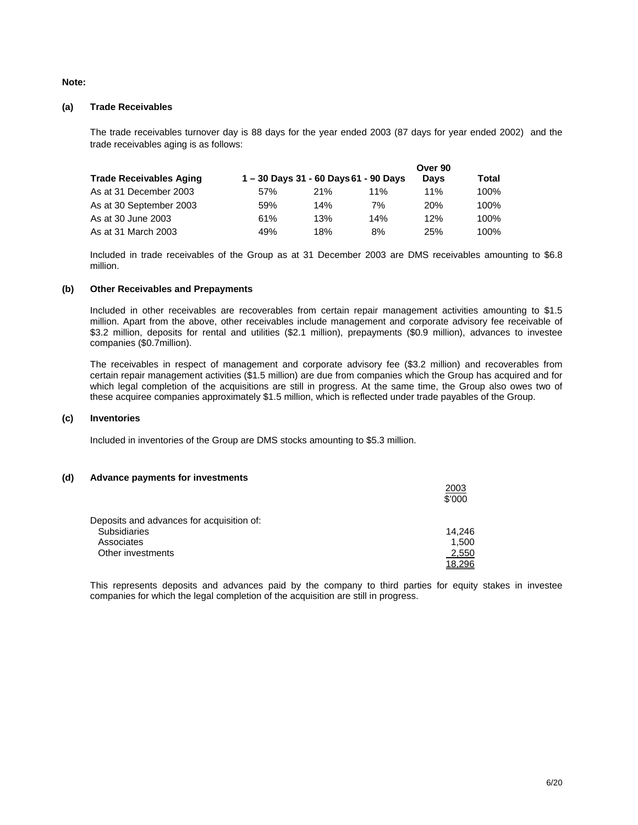#### **Note:**

#### **(a) Trade Receivables**

The trade receivables turnover day is 88 days for the year ended 2003 (87 days for year ended 2002) and the trade receivables aging is as follows:

|                         |      |     |                                     | Over 90     |         |
|-------------------------|------|-----|-------------------------------------|-------------|---------|
| Trade Receivables Aging |      |     | 1-30 Days 31 - 60 Days 61 - 90 Days | <b>Davs</b> | Total   |
| As at 31 December 2003  | .57% | 21% | 11%                                 | 11%         | 100%    |
| As at 30 September 2003 | 59%  | 14% | 7%                                  | 20%         | 100%    |
| As at 30 June 2003      | 61%  | 13% | 14%                                 | 12%         | $100\%$ |
| As at 31 March 2003     | 49%  | 18% | 8%                                  | 25%         | 100%    |

Included in trade receivables of the Group as at 31 December 2003 are DMS receivables amounting to \$6.8 million.

#### **(b) Other Receivables and Prepayments**

Included in other receivables are recoverables from certain repair management activities amounting to \$1.5 million. Apart from the above, other receivables include management and corporate advisory fee receivable of \$3.2 million, deposits for rental and utilities (\$2.1 million), prepayments (\$0.9 million), advances to investee companies (\$0.7million).

The receivables in respect of management and corporate advisory fee (\$3.2 million) and recoverables from certain repair management activities (\$1.5 million) are due from companies which the Group has acquired and for which legal completion of the acquisitions are still in progress. At the same time, the Group also owes two of these acquiree companies approximately \$1.5 million, which is reflected under trade payables of the Group.

#### **(c) Inventories**

Included in inventories of the Group are DMS stocks amounting to \$5.3 million.

#### **(d) Advance payments for investments**

|                                           | 2003<br>\$'000 |
|-------------------------------------------|----------------|
| Deposits and advances for acquisition of: |                |
| <b>Subsidiaries</b>                       | 14,246         |
| Associates                                | 1,500          |
| Other investments                         | 2,550          |
|                                           | 18.296         |

This represents deposits and advances paid by the company to third parties for equity stakes in investee companies for which the legal completion of the acquisition are still in progress.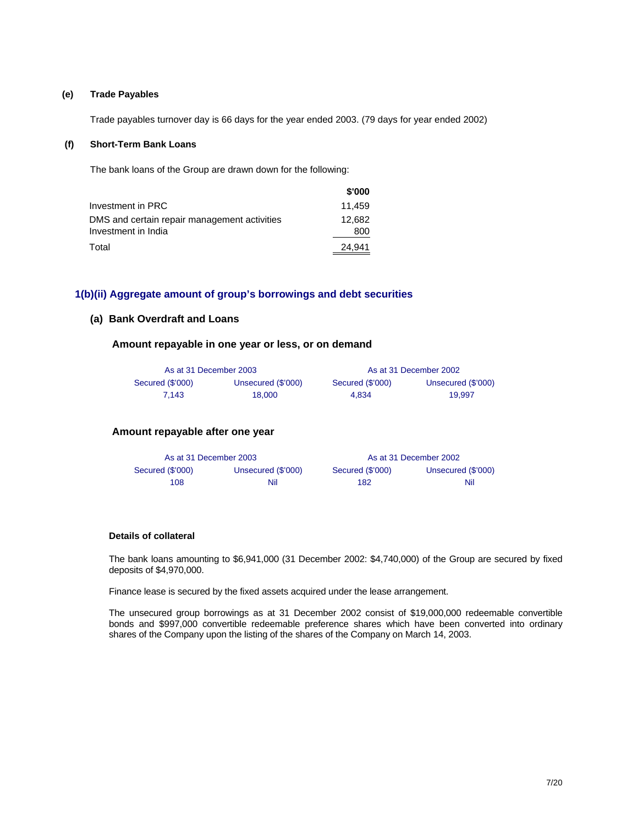#### **(e) Trade Payables**

Trade payables turnover day is 66 days for the year ended 2003. (79 days for year ended 2002)

#### **(f) Short-Term Bank Loans**

The bank loans of the Group are drawn down for the following:

|                                                                     | \$'000        |
|---------------------------------------------------------------------|---------------|
| Investment in PRC                                                   | 11.459        |
| DMS and certain repair management activities<br>Investment in India | 12.682<br>800 |
|                                                                     |               |
| Total                                                               | 24.941        |

#### **1(b)(ii) Aggregate amount of group's borrowings and debt securities**

#### **(a) Bank Overdraft and Loans**

**Amount repayable in one year or less, or on demand**

| As at 31 December 2003 |                    |                  | As at 31 December 2002 |
|------------------------|--------------------|------------------|------------------------|
| Secured (\$'000)       | Unsecured (\$'000) | Secured (\$'000) | Unsecured (\$'000)     |
| 7.143                  | 18.000             | 4.834            | 19.997                 |

#### **Amount repayable after one year**

| As at 31 December 2003 |                    |                  | As at 31 December 2002 |
|------------------------|--------------------|------------------|------------------------|
| Secured (\$'000)       | Unsecured (\$'000) | Secured (\$'000) | Unsecured (\$'000)     |
| 108                    | Nil                | 182              | Nil                    |

#### **Details of collateral**

The bank loans amounting to \$6,941,000 (31 December 2002: \$4,740,000) of the Group are secured by fixed deposits of \$4,970,000.

Finance lease is secured by the fixed assets acquired under the lease arrangement.

The unsecured group borrowings as at 31 December 2002 consist of \$19,000,000 redeemable convertible bonds and \$997,000 convertible redeemable preference shares which have been converted into ordinary shares of the Company upon the listing of the shares of the Company on March 14, 2003.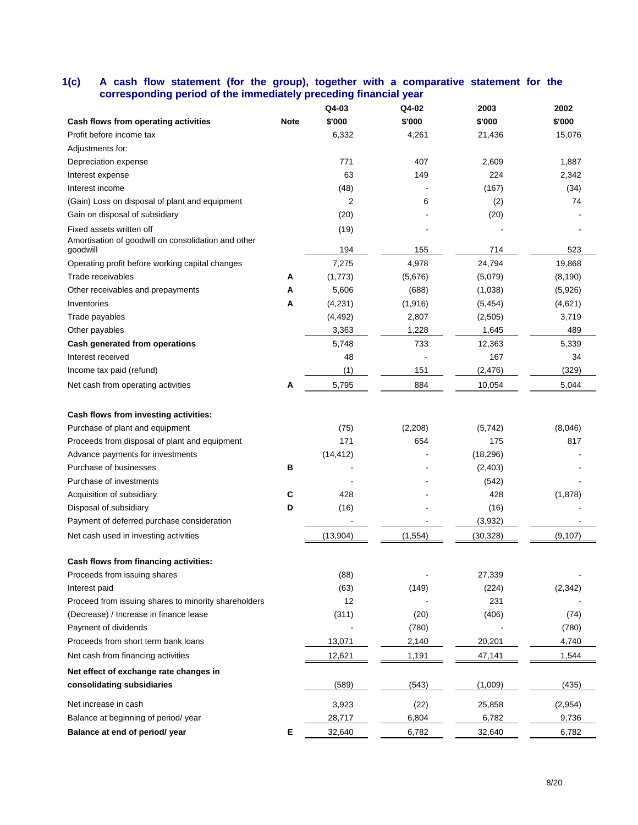## **1(c) A cash flow statement (for the group), together with a comparative statement for the corresponding period of the immediately preceding financial year**

|                                                                                             |             | Q4-03       | Q4-02    | 2003      | 2002     |
|---------------------------------------------------------------------------------------------|-------------|-------------|----------|-----------|----------|
| Cash flows from operating activities                                                        | <b>Note</b> | \$'000      | \$'000   | \$'000    | \$'000   |
| Profit before income tax                                                                    |             | 6,332       | 4,261    | 21,436    | 15,076   |
| Adjustments for:                                                                            |             |             |          |           |          |
| Depreciation expense                                                                        |             | 771         | 407      | 2,609     | 1,887    |
| Interest expense                                                                            |             | 63          | 149      | 224       | 2,342    |
| Interest income                                                                             |             | (48)        |          | (167)     | (34)     |
| (Gain) Loss on disposal of plant and equipment                                              |             | 2           | 6        | (2)       | 74       |
| Gain on disposal of subsidiary                                                              |             | (20)        |          | (20)      |          |
| Fixed assets written off<br>Amortisation of goodwill on consolidation and other<br>goodwill |             | (19)<br>194 | 155      | 714       | 523      |
| Operating profit before working capital changes                                             |             | 7,275       | 4,978    | 24,794    | 19,868   |
| Trade receivables                                                                           | A           | (1,773)     | (5,676)  | (5,079)   | (8, 190) |
| Other receivables and prepayments                                                           | А           | 5,606       | (688)    | (1,038)   | (5,926)  |
| Inventories                                                                                 | А           | (4,231)     | (1,916)  | (5, 454)  | (4,621)  |
| Trade payables                                                                              |             | (4, 492)    | 2,807    | (2,505)   | 3,719    |
| Other payables                                                                              |             | 3,363       | 1,228    | 1,645     | 489      |
| Cash generated from operations                                                              |             | 5,748       | 733      | 12,363    | 5,339    |
| Interest received                                                                           |             | 48          |          | 167       | 34       |
| Income tax paid (refund)                                                                    |             | (1)         | 151      | (2, 476)  | (329)    |
|                                                                                             |             |             |          |           |          |
| Net cash from operating activities                                                          | A           | 5,795       | 884      | 10,054    | 5,044    |
|                                                                                             |             |             |          |           |          |
| Cash flows from investing activities:                                                       |             |             |          |           |          |
| Purchase of plant and equipment                                                             |             | (75)        | (2,208)  | (5, 742)  | (8,046)  |
| Proceeds from disposal of plant and equipment                                               |             | 171         | 654      | 175       | 817      |
| Advance payments for investments                                                            |             | (14, 412)   |          | (18, 296) |          |
| Purchase of businesses                                                                      | в           |             |          | (2, 403)  |          |
| Purchase of investments                                                                     |             |             |          | (542)     |          |
| Acquisition of subsidiary                                                                   | С           | 428         |          | 428       | (1,878)  |
| Disposal of subsidiary                                                                      | D           | (16)        |          | (16)      |          |
| Payment of deferred purchase consideration                                                  |             |             |          | (3,932)   |          |
| Net cash used in investing activities                                                       |             | (13,904)    | (1, 554) | (30, 328) | (9, 107) |
| Cash flows from financing activities:                                                       |             |             |          |           |          |
| Proceeds from issuing shares                                                                |             | (88)        |          | 27,339    |          |
| Interest paid                                                                               |             | (63)        | (149)    | (224)     | (2, 342) |
| Proceed from issuing shares to minority shareholders                                        |             | 12          |          | 231       |          |
| (Decrease) / Increase in finance lease                                                      |             | (311)       | (20)     | (406)     | (74)     |
| Payment of dividends                                                                        |             |             | (780)    |           | (780)    |
| Proceeds from short term bank loans                                                         |             | 13,071      | 2,140    | 20,201    | 4,740    |
| Net cash from financing activities                                                          |             | 12,621      | 1,191    | 47,141    | 1,544    |
| Net effect of exchange rate changes in                                                      |             |             |          |           |          |
| consolidating subsidiaries                                                                  |             | (589)       | (543)    | (1,009)   | (435)    |
| Net increase in cash                                                                        |             | 3,923       | (22)     | 25,858    | (2,954)  |
| Balance at beginning of period/year                                                         |             | 28,717      | 6,804    | 6,782     | 9,736    |
| Balance at end of period/ year                                                              | Е           | 32,640      | 6,782    | 32,640    | 6,782    |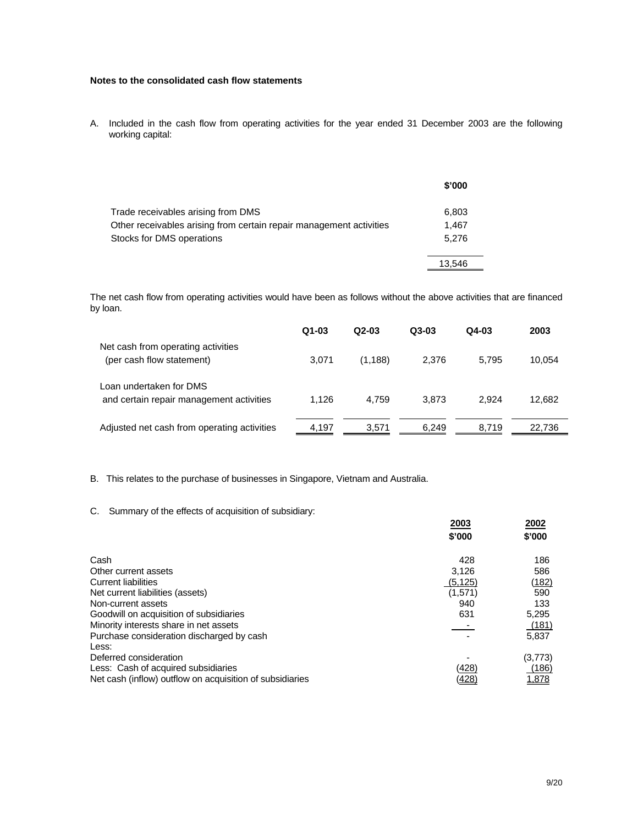## **Notes to the consolidated cash flow statements**

A. Included in the cash flow from operating activities for the year ended 31 December 2003 are the following working capital:

|                                                                     | \$'000 |
|---------------------------------------------------------------------|--------|
| Trade receivables arising from DMS                                  | 6,803  |
| Other receivables arising from certain repair management activities | 1.467  |
| Stocks for DMS operations                                           | 5.276  |
|                                                                     | 13.546 |

The net cash flow from operating activities would have been as follows without the above activities that are financed by loan.

|                                                                     | $Q1-03$ | $Q2-03$  | $Q3-03$ | $Q4-03$ | 2003   |
|---------------------------------------------------------------------|---------|----------|---------|---------|--------|
| Net cash from operating activities<br>(per cash flow statement)     | 3.071   | (1, 188) | 2.376   | 5.795   | 10,054 |
| Loan undertaken for DMS<br>and certain repair management activities | 1.126   | 4.759    | 3.873   | 2.924   | 12,682 |
| Adjusted net cash from operating activities                         | 4.197   | 3.571    | 6.249   | 8.719   | 22,736 |

#### B. This relates to the purchase of businesses in Singapore, Vietnam and Australia.

#### C. Summary of the effects of acquisition of subsidiary:

|                                                          | 2003     | 2002    |
|----------------------------------------------------------|----------|---------|
|                                                          | \$'000   | \$'000  |
| Cash                                                     | 428      | 186     |
| Other current assets                                     | 3,126    | 586     |
| <b>Current liabilities</b>                               | (5, 125) | (182)   |
| Net current liabilities (assets)                         | (1,571)  | 590     |
| Non-current assets                                       | 940      | 133     |
| Goodwill on acquisition of subsidiaries                  | 631      | 5,295   |
| Minority interests share in net assets                   |          | (181)   |
| Purchase consideration discharged by cash<br>Less:       |          | 5.837   |
| Deferred consideration                                   |          | (3,773) |
| Less: Cash of acquired subsidiaries                      | (428)    | (186)   |
| Net cash (inflow) outflow on acquisition of subsidiaries | 428      | 1,878   |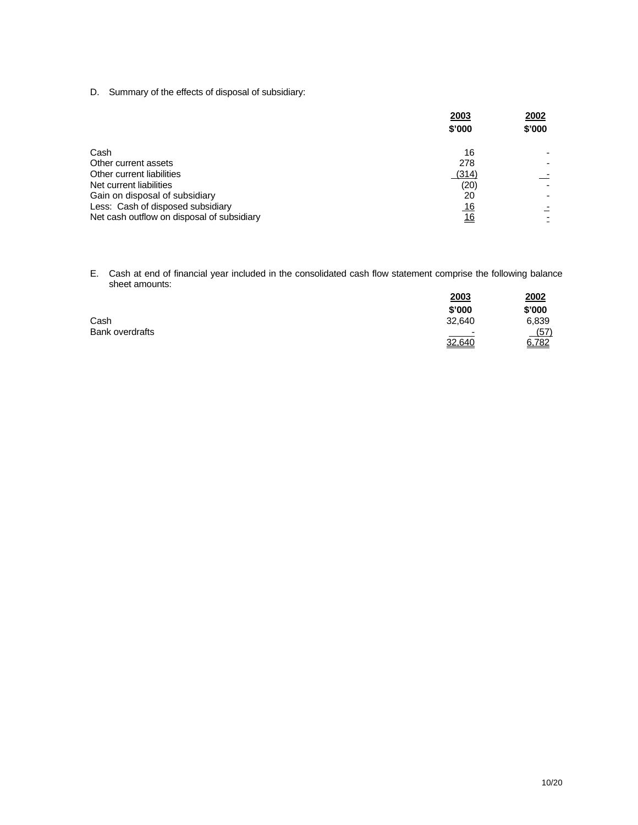D. Summary of the effects of disposal of subsidiary:

|                                            | 2003<br>\$'000 | 2002<br>\$'000 |
|--------------------------------------------|----------------|----------------|
| Cash                                       | 16             |                |
| Other current assets                       | 278            |                |
| Other current liabilities                  | (314)          |                |
| Net current liabilities                    | (20)           |                |
| Gain on disposal of subsidiary             | 20             |                |
| Less: Cash of disposed subsidiary          | <u> 16</u>     |                |
| Net cash outflow on disposal of subsidiary | <u>16</u>      |                |

E. Cash at end of financial year included in the consolidated cash flow statement comprise the following balance sheet amounts:

|                        | <u>2003</u>              | <u>2002</u> |
|------------------------|--------------------------|-------------|
|                        | \$'000                   | \$'000      |
| Cash                   | 32,640                   | 6,839       |
| <b>Bank overdrafts</b> | $\overline{\phantom{a}}$ | (57)        |
|                        | 32,640                   | 6,782       |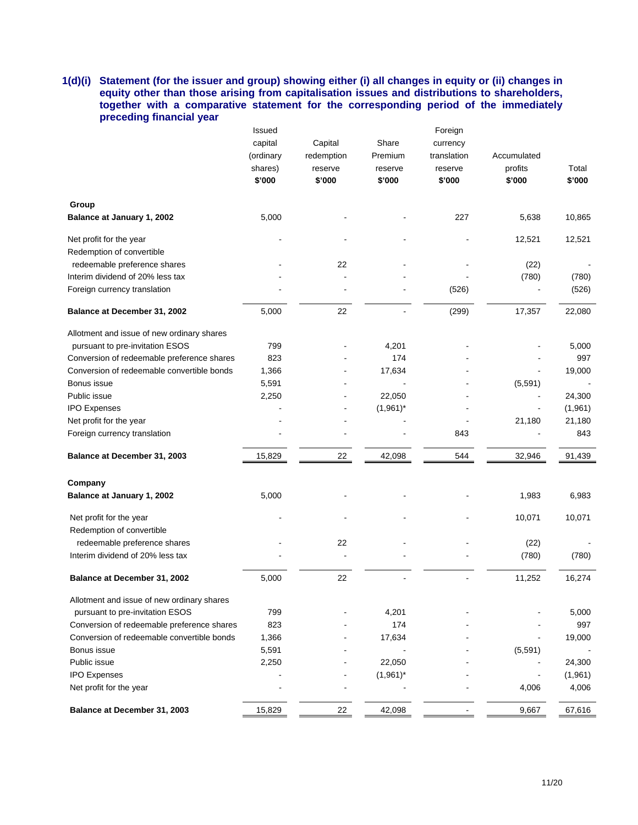## **1(d)(i) Statement (for the issuer and group) showing either (i) all changes in equity or (ii) changes in equity other than those arising from capitalisation issues and distributions to shareholders, together with a comparative statement for the corresponding period of the immediately preceding financial year**

|                                            | Issued    |            |             | Foreign     |             |         |
|--------------------------------------------|-----------|------------|-------------|-------------|-------------|---------|
|                                            | capital   | Capital    | Share       | currency    |             |         |
|                                            | (ordinary | redemption | Premium     | translation | Accumulated |         |
|                                            | shares)   | reserve    | reserve     | reserve     | profits     | Total   |
|                                            | \$'000    | \$'000     | \$'000      | \$'000      | \$'000      | \$'000  |
| Group                                      |           |            |             |             |             |         |
| Balance at January 1, 2002                 | 5,000     |            |             | 227         | 5,638       | 10,865  |
| Net profit for the year                    |           |            |             |             | 12,521      | 12,521  |
| Redemption of convertible                  |           |            |             |             |             |         |
| redeemable preference shares               |           | 22         |             |             | (22)        |         |
| Interim dividend of 20% less tax           |           |            |             |             | (780)       | (780)   |
| Foreign currency translation               |           |            |             | (526)       |             | (526)   |
| Balance at December 31, 2002               | 5,000     | 22         |             | (299)       | 17,357      | 22,080  |
| Allotment and issue of new ordinary shares |           |            |             |             |             |         |
| pursuant to pre-invitation ESOS            | 799       |            | 4,201       |             |             | 5,000   |
| Conversion of redeemable preference shares | 823       |            | 174         |             |             | 997     |
| Conversion of redeemable convertible bonds | 1,366     |            | 17,634      |             |             | 19,000  |
| Bonus issue                                | 5,591     |            |             |             | (5, 591)    |         |
| Public issue                               | 2,250     |            | 22,050      |             |             | 24,300  |
| <b>IPO Expenses</b>                        |           |            | $(1,961)^*$ |             |             | (1,961) |
| Net profit for the year                    |           |            |             |             | 21,180      | 21,180  |
| Foreign currency translation               |           |            |             | 843         |             | 843     |
| Balance at December 31, 2003               | 15,829    | 22         | 42,098      | 544         | 32,946      | 91,439  |
| Company                                    |           |            |             |             |             |         |
| Balance at January 1, 2002                 | 5,000     |            |             |             | 1,983       | 6,983   |
|                                            |           |            |             |             |             |         |
| Net profit for the year                    |           |            |             |             | 10,071      | 10,071  |
| Redemption of convertible                  |           |            |             |             |             |         |
| redeemable preference shares               |           | 22         |             |             | (22)        |         |
| Interim dividend of 20% less tax           |           |            |             |             | (780)       | (780)   |
| Balance at December 31, 2002               | 5,000     | 22         |             |             | 11,252      | 16,274  |
| Allotment and issue of new ordinary shares |           |            |             |             |             |         |
| pursuant to pre-invitation ESOS            | 799       |            | 4,201       |             |             | 5,000   |
| Conversion of redeemable preference shares | 823       |            | 174         |             |             | 997     |
| Conversion of redeemable convertible bonds | 1,366     |            | 17,634      |             |             | 19,000  |
| Bonus issue                                | 5,591     |            |             |             | (5, 591)    |         |
| Public issue                               | 2,250     |            | 22,050      |             |             | 24,300  |
| <b>IPO Expenses</b>                        |           |            | $(1,961)^*$ |             |             | (1,961) |
| Net profit for the year                    |           |            |             |             | 4,006       | 4,006   |
| Balance at December 31, 2003               | 15,829    | 22         | 42,098      |             | 9,667       | 67,616  |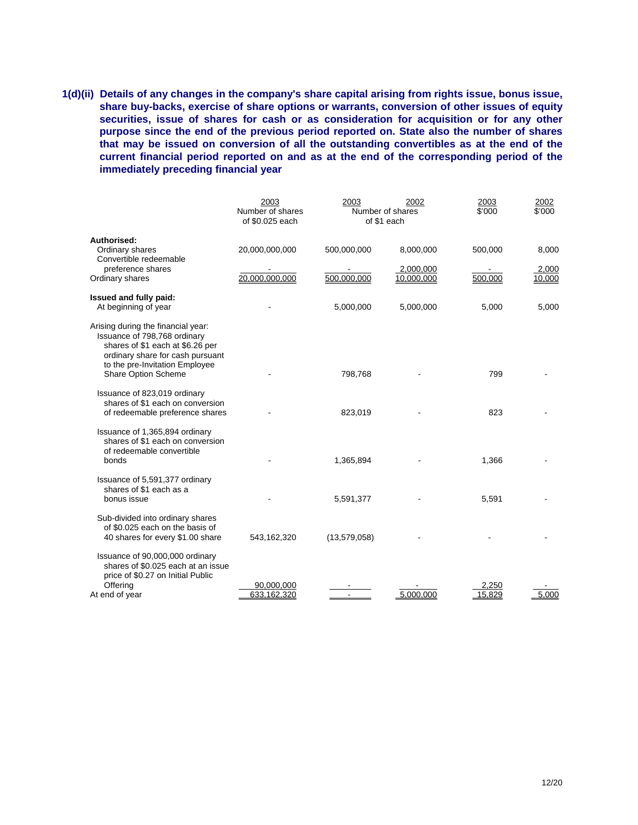**1(d)(ii) Details of any changes in the company's share capital arising from rights issue, bonus issue, share buy-backs, exercise of share options or warrants, conversion of other issues of equity securities, issue of shares for cash or as consideration for acquisition or for any other purpose since the end of the previous period reported on. State also the number of shares that may be issued on conversion of all the outstanding convertibles as at the end of the current financial period reported on and as at the end of the corresponding period of the immediately preceding financial year**

|                                                                                                                                                                                                     | 2003<br>Number of shares<br>of \$0.025 each | 2003         | 2002<br>Number of shares<br>of \$1 each | 2003<br>\$'000  | 2002<br>\$'000  |
|-----------------------------------------------------------------------------------------------------------------------------------------------------------------------------------------------------|---------------------------------------------|--------------|-----------------------------------------|-----------------|-----------------|
| Authorised:                                                                                                                                                                                         |                                             |              |                                         |                 |                 |
| Ordinary shares<br>Convertible redeemable                                                                                                                                                           | 20,000,000,000                              | 500,000,000  | 8,000,000                               | 500,000         | 8,000           |
| preference shares<br>Ordinary shares                                                                                                                                                                | 20,000,000,000                              | 500,000,000  | 2,000,000<br>10,000,000                 | 500,000         | 2,000<br>10,000 |
| Issued and fully paid:                                                                                                                                                                              |                                             |              |                                         |                 |                 |
| At beginning of year                                                                                                                                                                                |                                             | 5,000,000    | 5,000,000                               | 5,000           | 5,000           |
| Arising during the financial year:<br>Issuance of 798,768 ordinary<br>shares of \$1 each at \$6.26 per<br>ordinary share for cash pursuant<br>to the pre-Invitation Employee<br>Share Option Scheme |                                             | 798,768      |                                         | 799             |                 |
| Issuance of 823,019 ordinary<br>shares of \$1 each on conversion<br>of redeemable preference shares                                                                                                 |                                             | 823,019      |                                         | 823             |                 |
| Issuance of 1,365,894 ordinary<br>shares of \$1 each on conversion<br>of redeemable convertible<br>bonds                                                                                            |                                             | 1,365,894    |                                         | 1,366           |                 |
| Issuance of 5,591,377 ordinary<br>shares of \$1 each as a<br>bonus issue                                                                                                                            |                                             | 5,591,377    |                                         | 5,591           |                 |
| Sub-divided into ordinary shares<br>of \$0.025 each on the basis of<br>40 shares for every \$1.00 share                                                                                             | 543,162,320                                 | (13,579,058) |                                         |                 |                 |
| Issuance of 90,000,000 ordinary<br>shares of \$0.025 each at an issue<br>price of \$0.27 on Initial Public<br>Offering<br>At end of year                                                            | 90,000,000<br>633,162,320                   |              | 5.000.000                               | 2.250<br>15,829 | 5.000           |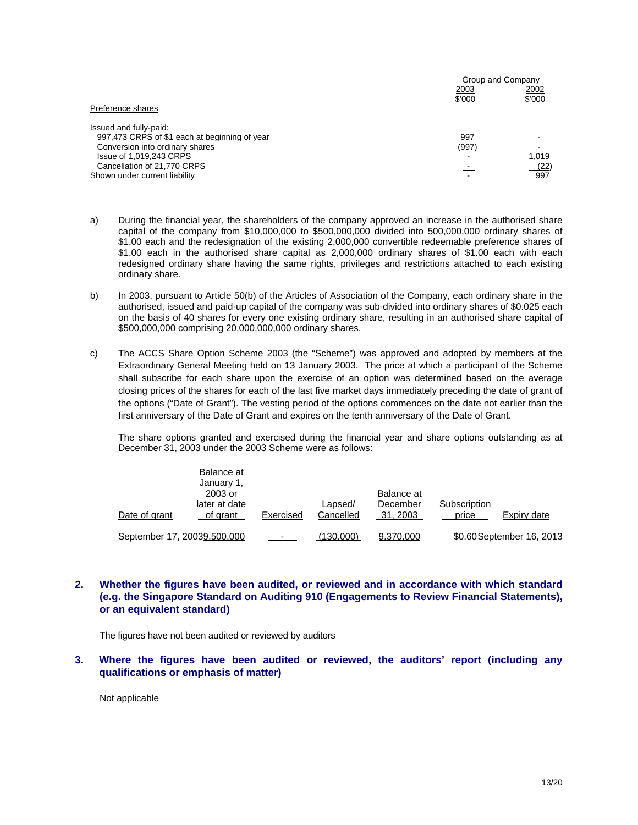|                                               | Group and Company |                |
|-----------------------------------------------|-------------------|----------------|
|                                               | 2003<br>\$'000    | 2002<br>\$'000 |
| Preference shares                             |                   |                |
| Issued and fully-paid:                        |                   |                |
| 997,473 CRPS of \$1 each at beginning of year | 997               |                |
| Conversion into ordinary shares               | (997)             | -              |
| Issue of 1,019,243 CRPS                       |                   | 1,019          |
| Cancellation of 21,770 CRPS                   |                   | (22)           |
| Shown under current liability                 |                   | 997            |

- a) During the financial year, the shareholders of the company approved an increase in the authorised share capital of the company from \$10,000,000 to \$500,000,000 divided into 500,000,000 ordinary shares of \$1.00 each and the redesignation of the existing 2,000,000 convertible redeemable preference shares of \$1.00 each in the authorised share capital as 2,000,000 ordinary shares of \$1.00 each with each redesigned ordinary share having the same rights, privileges and restrictions attached to each existing ordinary share.
- b) In 2003, pursuant to Article 50(b) of the Articles of Association of the Company, each ordinary share in the authorised, issued and paid-up capital of the company was sub-divided into ordinary shares of \$0.025 each on the basis of 40 shares for every one existing ordinary share, resulting in an authorised share capital of \$500,000,000 comprising 20,000,000,000 ordinary shares.
- c) The ACCS Share Option Scheme 2003 (the "Scheme") was approved and adopted by members at the Extraordinary General Meeting held on 13 January 2003. The price at which a participant of the Scheme shall subscribe for each share upon the exercise of an option was determined based on the average closing prices of the shares for each of the last five market days immediately preceding the date of grant of the options ("Date of Grant"). The vesting period of the options commences on the date not earlier than the first anniversary of the Date of Grant and expires on the tenth anniversary of the Date of Grant.

The share options granted and exercised during the financial year and share options outstanding as at December 31, 2003 under the 2003 Scheme were as follows:

| Date of grant               | Balance at<br>January 1,<br>2003 or<br>later at date<br>of grant | Exercised            | Lapsed/<br>Cancelled | Balance at<br>December<br>31, 2003 | Subscription<br>price | Expiry date               |
|-----------------------------|------------------------------------------------------------------|----------------------|----------------------|------------------------------------|-----------------------|---------------------------|
| September 17, 20039,500,000 |                                                                  | <u>and the state</u> | <u>(130,000)</u>     | 9,370,000                          |                       | \$0.60 September 16, 2013 |

## **2. Whether the figures have been audited, or reviewed and in accordance with which standard (e.g. the Singapore Standard on Auditing 910 (Engagements to Review Financial Statements), or an equivalent standard)**

The figures have not been audited or reviewed by auditors

**3. Where the figures have been audited or reviewed, the auditors' report (including any qualifications or emphasis of matter)** 

Not applicable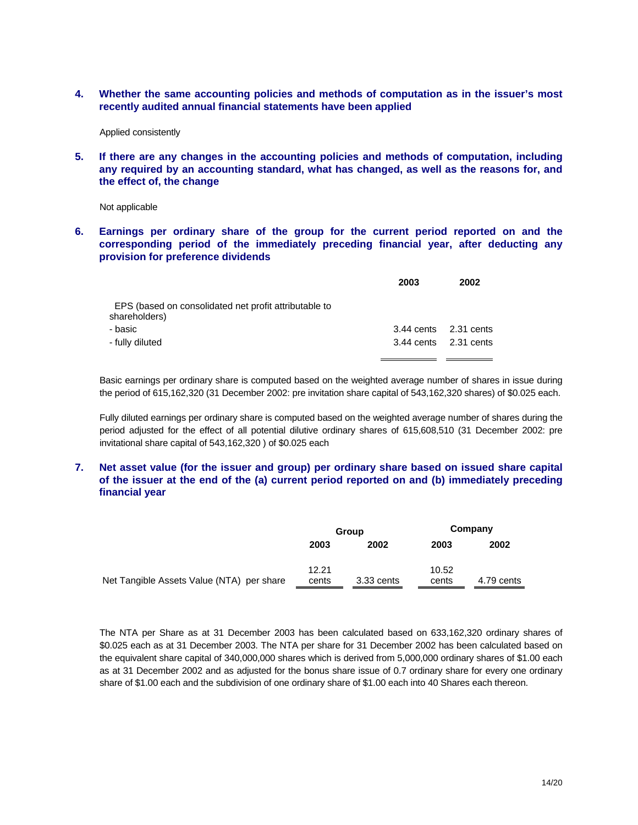**4. Whether the same accounting policies and methods of computation as in the issuer's most recently audited annual financial statements have been applied** 

Applied consistently

**5. If there are any changes in the accounting policies and methods of computation, including any required by an accounting standard, what has changed, as well as the reasons for, and the effect of, the change** 

Not applicable

**6. Earnings per ordinary share of the group for the current period reported on and the corresponding period of the immediately preceding financial year, after deducting any provision for preference dividends** 

|                                                                        | 2003 | 2002                  |
|------------------------------------------------------------------------|------|-----------------------|
| EPS (based on consolidated net profit attributable to<br>shareholders) |      |                       |
| - basic                                                                |      | 3.44 cents 2.31 cents |
| - fully diluted                                                        |      | 3.44 cents 2.31 cents |
|                                                                        |      |                       |

Basic earnings per ordinary share is computed based on the weighted average number of shares in issue during the period of 615,162,320 (31 December 2002: pre invitation share capital of 543,162,320 shares) of \$0.025 each.

Fully diluted earnings per ordinary share is computed based on the weighted average number of shares during the period adjusted for the effect of all potential dilutive ordinary shares of 615,608,510 (31 December 2002: pre invitational share capital of 543,162,320 ) of \$0.025 each

## **7. Net asset value (for the issuer and group) per ordinary share based on issued share capital of the issuer at the end of the (a) current period reported on and (b) immediately preceding financial year**

|                                           | Group          |            |                | Company    |  |
|-------------------------------------------|----------------|------------|----------------|------------|--|
|                                           | 2003           | 2002       | 2003           | 2002       |  |
| Net Tangible Assets Value (NTA) per share | 12.21<br>cents | 3.33 cents | 10.52<br>cents | 4.79 cents |  |

The NTA per Share as at 31 December 2003 has been calculated based on 633,162,320 ordinary shares of \$0.025 each as at 31 December 2003. The NTA per share for 31 December 2002 has been calculated based on the equivalent share capital of 340,000,000 shares which is derived from 5,000,000 ordinary shares of \$1.00 each as at 31 December 2002 and as adjusted for the bonus share issue of 0.7 ordinary share for every one ordinary share of \$1.00 each and the subdivision of one ordinary share of \$1.00 each into 40 Shares each thereon.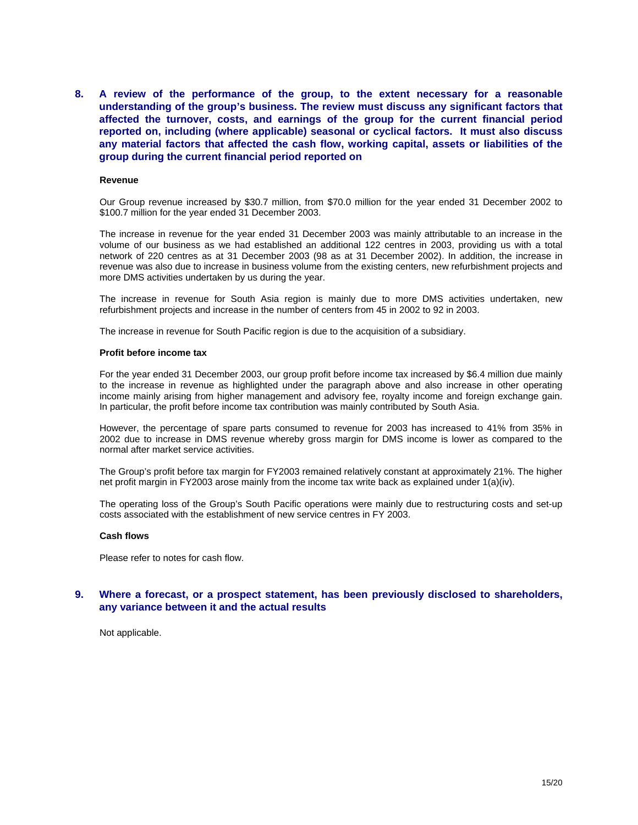**8. A review of the performance of the group, to the extent necessary for a reasonable understanding of the group's business. The review must discuss any significant factors that affected the turnover, costs, and earnings of the group for the current financial period reported on, including (where applicable) seasonal or cyclical factors. It must also discuss any material factors that affected the cash flow, working capital, assets or liabilities of the group during the current financial period reported on** 

#### **Revenue**

Our Group revenue increased by \$30.7 million, from \$70.0 million for the year ended 31 December 2002 to \$100.7 million for the year ended 31 December 2003.

The increase in revenue for the year ended 31 December 2003 was mainly attributable to an increase in the volume of our business as we had established an additional 122 centres in 2003, providing us with a total network of 220 centres as at 31 December 2003 (98 as at 31 December 2002). In addition, the increase in revenue was also due to increase in business volume from the existing centers, new refurbishment projects and more DMS activities undertaken by us during the year.

The increase in revenue for South Asia region is mainly due to more DMS activities undertaken, new refurbishment projects and increase in the number of centers from 45 in 2002 to 92 in 2003.

The increase in revenue for South Pacific region is due to the acquisition of a subsidiary.

#### **Profit before income tax**

For the year ended 31 December 2003, our group profit before income tax increased by \$6.4 million due mainly to the increase in revenue as highlighted under the paragraph above and also increase in other operating income mainly arising from higher management and advisory fee, royalty income and foreign exchange gain. In particular, the profit before income tax contribution was mainly contributed by South Asia.

However, the percentage of spare parts consumed to revenue for 2003 has increased to 41% from 35% in 2002 due to increase in DMS revenue whereby gross margin for DMS income is lower as compared to the normal after market service activities.

The Group's profit before tax margin for FY2003 remained relatively constant at approximately 21%. The higher net profit margin in FY2003 arose mainly from the income tax write back as explained under 1(a)(iv).

The operating loss of the Group's South Pacific operations were mainly due to restructuring costs and set-up costs associated with the establishment of new service centres in FY 2003.

#### **Cash flows**

Please refer to notes for cash flow.

#### **9. Where a forecast, or a prospect statement, has been previously disclosed to shareholders, any variance between it and the actual results**

Not applicable.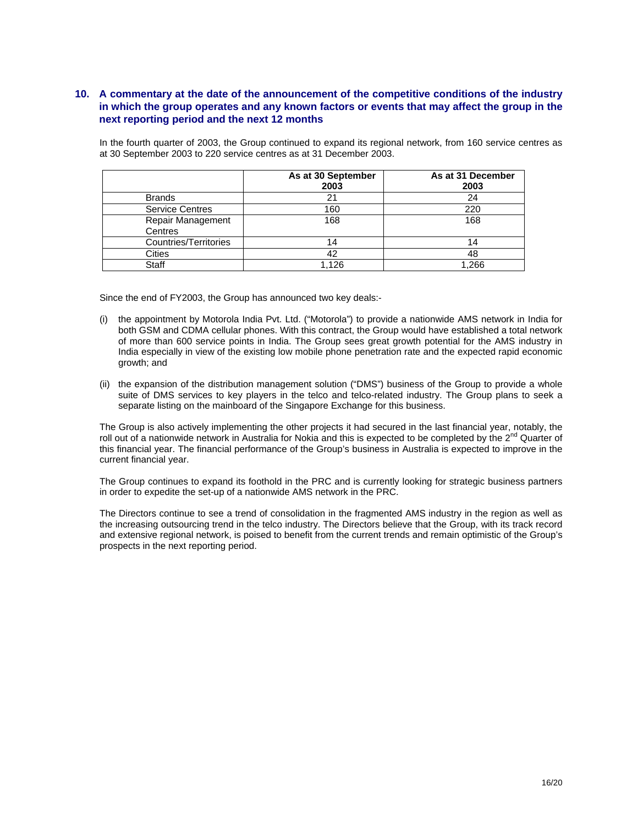## **10. A commentary at the date of the announcement of the competitive conditions of the industry in which the group operates and any known factors or events that may affect the group in the next reporting period and the next 12 months**

In the fourth quarter of 2003, the Group continued to expand its regional network, from 160 service centres as at 30 September 2003 to 220 service centres as at 31 December 2003.

|                              | As at 30 September<br>2003 | As at 31 December<br>2003 |
|------------------------------|----------------------------|---------------------------|
| <b>Brands</b>                | 21                         | 24                        |
| <b>Service Centres</b>       | 160                        | 220                       |
| Repair Management<br>Centres | 168                        | 168                       |
| Countries/Territories        | 14                         | 14                        |
| Cities                       | 42                         | 48                        |
| Staff                        | 1.126                      | 1.266                     |

Since the end of FY2003, the Group has announced two key deals:-

- (i) the appointment by Motorola India Pvt. Ltd. ("Motorola") to provide a nationwide AMS network in India for both GSM and CDMA cellular phones. With this contract, the Group would have established a total network of more than 600 service points in India. The Group sees great growth potential for the AMS industry in India especially in view of the existing low mobile phone penetration rate and the expected rapid economic growth; and
- (ii) the expansion of the distribution management solution ("DMS") business of the Group to provide a whole suite of DMS services to key players in the telco and telco-related industry. The Group plans to seek a separate listing on the mainboard of the Singapore Exchange for this business.

The Group is also actively implementing the other projects it had secured in the last financial year, notably, the roll out of a nationwide network in Australia for Nokia and this is expected to be completed by the  $2^{nd}$  Quarter of this financial year. The financial performance of the Group's business in Australia is expected to improve in the current financial year.

The Group continues to expand its foothold in the PRC and is currently looking for strategic business partners in order to expedite the set-up of a nationwide AMS network in the PRC.

The Directors continue to see a trend of consolidation in the fragmented AMS industry in the region as well as the increasing outsourcing trend in the telco industry. The Directors believe that the Group, with its track record and extensive regional network, is poised to benefit from the current trends and remain optimistic of the Group's prospects in the next reporting period.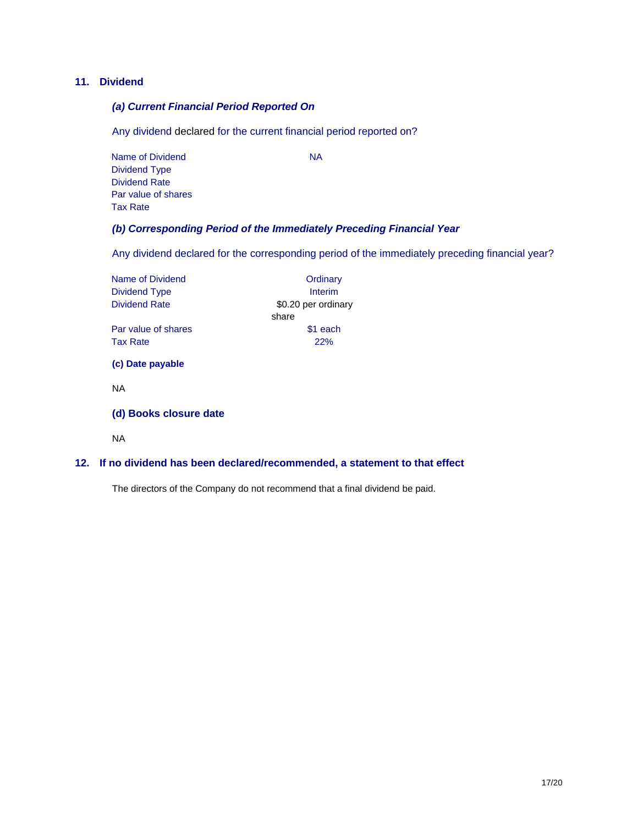## **11. Dividend**

## *(a) Current Financial Period Reported On*

Any dividend declared for the current financial period reported on?

Name of Dividend NA Dividend Type Dividend Rate Par value of shares Tax Rate

# *(b) Corresponding Period of the Immediately Preceding Financial Year*

Any dividend declared for the corresponding period of the immediately preceding financial year?

| Name of Dividend       | Ordinary            |
|------------------------|---------------------|
| Dividend Type          | Interim             |
| <b>Dividend Rate</b>   | \$0.20 per ordinary |
|                        | share               |
| Par value of shares    | \$1 each            |
| <b>Tax Rate</b>        | 22%                 |
| (c) Date payable       |                     |
| <b>NA</b>              |                     |
| (d) Books closure date |                     |
|                        |                     |

NA

## **12. If no dividend has been declared/recommended, a statement to that effect**

The directors of the Company do not recommend that a final dividend be paid.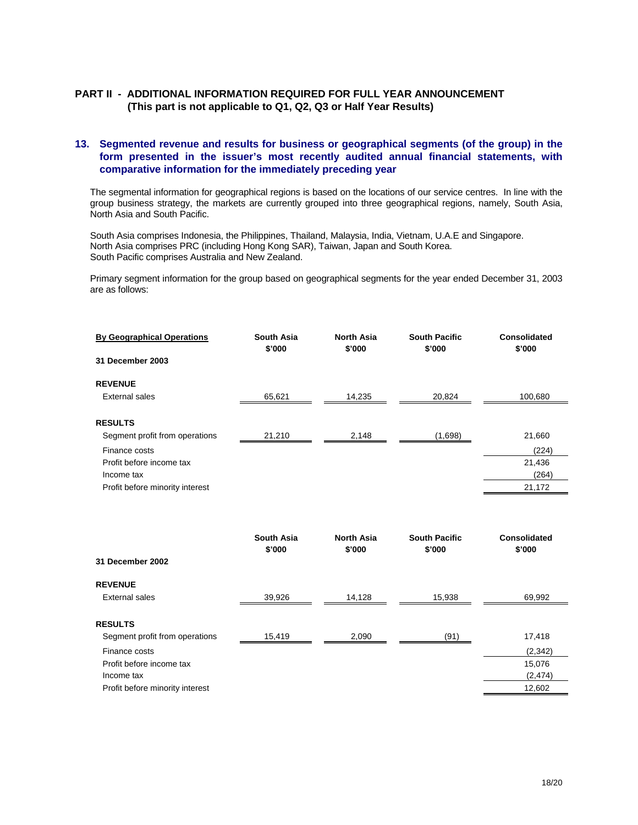## **PART II - ADDITIONAL INFORMATION REQUIRED FOR FULL YEAR ANNOUNCEMENT (This part is not applicable to Q1, Q2, Q3 or Half Year Results)**

## **13. Segmented revenue and results for business or geographical segments (of the group) in the form presented in the issuer's most recently audited annual financial statements, with comparative information for the immediately preceding year**

The segmental information for geographical regions is based on the locations of our service centres. In line with the group business strategy, the markets are currently grouped into three geographical regions, namely, South Asia, North Asia and South Pacific.

South Asia comprises Indonesia, the Philippines, Thailand, Malaysia, India, Vietnam, U.A.E and Singapore. North Asia comprises PRC (including Hong Kong SAR), Taiwan, Japan and South Korea. South Pacific comprises Australia and New Zealand.

Primary segment information for the group based on geographical segments for the year ended December 31, 2003 are as follows:

| <b>By Geographical Operations</b> | <b>South Asia</b><br>\$'000 | <b>North Asia</b><br>\$'000 | <b>South Pacific</b><br>\$'000 | Consolidated<br>\$'000 |
|-----------------------------------|-----------------------------|-----------------------------|--------------------------------|------------------------|
| 31 December 2003                  |                             |                             |                                |                        |
| <b>REVENUE</b>                    |                             |                             |                                |                        |
| External sales                    | 65,621                      | 14,235                      | 20,824                         | 100,680                |
|                                   |                             |                             |                                |                        |
| <b>RESULTS</b>                    |                             |                             |                                |                        |
| Segment profit from operations    | 21,210                      | 2,148                       | (1,698)                        | 21,660                 |
| Finance costs                     |                             |                             |                                | (224)                  |
| Profit before income tax          |                             |                             |                                | 21,436                 |
| Income tax                        |                             |                             |                                | (264)                  |
| Profit before minority interest   |                             |                             |                                | 21,172                 |
|                                   |                             |                             |                                |                        |

|                                 | <b>South Asia</b><br>\$'000 | <b>North Asia</b><br>\$'000 | <b>South Pacific</b><br>\$'000 | Consolidated<br>\$'000 |
|---------------------------------|-----------------------------|-----------------------------|--------------------------------|------------------------|
| 31 December 2002                |                             |                             |                                |                        |
| <b>REVENUE</b>                  |                             |                             |                                |                        |
| External sales                  | 39,926                      | 14,128                      | 15,938                         | 69,992                 |
|                                 |                             |                             |                                |                        |
| <b>RESULTS</b>                  |                             |                             |                                |                        |
| Segment profit from operations  | 15,419                      | 2,090                       | (91)                           | 17,418                 |
| Finance costs                   |                             |                             |                                | (2,342)                |
| Profit before income tax        |                             |                             |                                | 15,076                 |
| Income tax                      |                             |                             |                                | (2, 474)               |
| Profit before minority interest |                             |                             |                                | 12,602                 |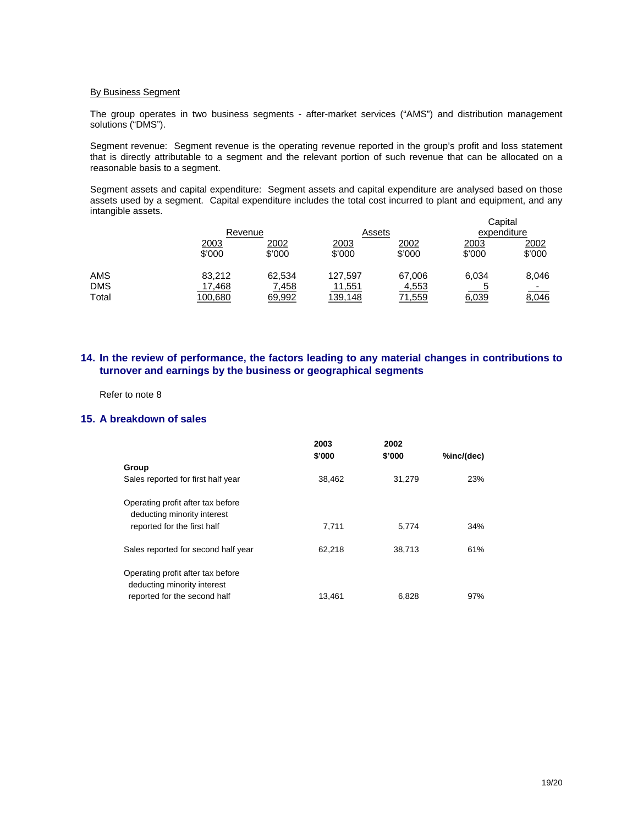#### By Business Segment

The group operates in two business segments - after-market services ("AMS") and distribution management solutions ("DMS").

Segment revenue: Segment revenue is the operating revenue reported in the group's profit and loss statement that is directly attributable to a segment and the relevant portion of such revenue that can be allocated on a reasonable basis to a segment.

Segment assets and capital expenditure: Segment assets and capital expenditure are analysed based on those assets used by a segment. Capital expenditure includes the total cost incurred to plant and equipment, and any intangible assets.

|       |         |        |         |               | Capital     |        |
|-------|---------|--------|---------|---------------|-------------|--------|
|       | Revenue |        | Assets  |               | expenditure |        |
|       | 2003    | 2002   | 2003    | 2002          | <u>2003</u> | 2002   |
|       | \$'000  | \$'000 | \$'000  | \$'000        | \$'000      | \$'000 |
|       |         |        |         |               |             |        |
| AMS   | 83.212  | 62,534 | 127.597 | 67,006        | 6,034       | 8,046  |
| DMS   | 17,468  | 7,458  | 11,551  | 4,553         |             |        |
| Total | 100,680 | 69,992 | 139,148 | <u>71,559</u> | 6,039       | 8,046  |
|       |         |        |         |               |             |        |

## **14. In the review of performance, the factors leading to any material changes in contributions to turnover and earnings by the business or geographical segments**

Refer to note 8

## **15. A breakdown of sales**

|                                                                  | 2003<br>\$'000 | 2002<br>\$'000 | %inc/(dec) |
|------------------------------------------------------------------|----------------|----------------|------------|
| Group                                                            |                |                |            |
| Sales reported for first half year                               | 38.462         | 31,279         | 23%        |
| Operating profit after tax before<br>deducting minority interest |                |                |            |
| reported for the first half                                      | 7,711          | 5.774          | 34%        |
| Sales reported for second half year                              | 62,218         | 38,713         | 61%        |
| Operating profit after tax before<br>deducting minority interest |                |                |            |
| reported for the second half                                     | 13.461         | 6.828          | 97%        |